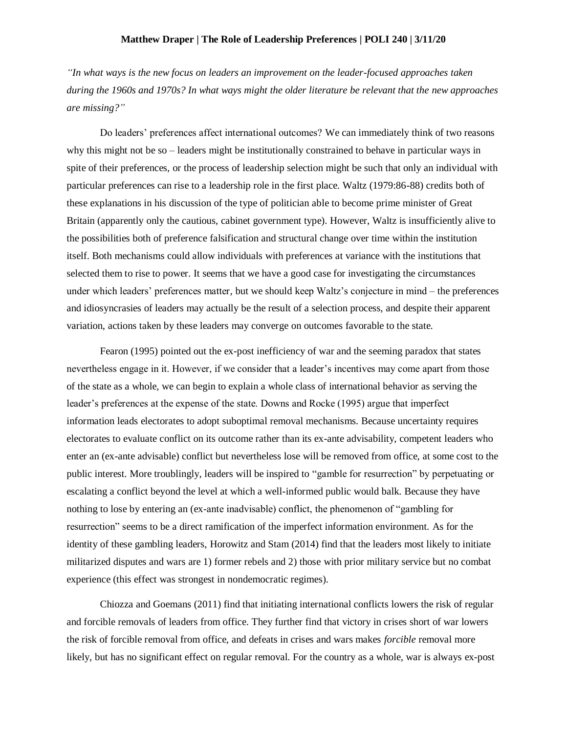## **Matthew Draper | The Role of Leadership Preferences | POLI 240 | 3/11/20**

*"In what ways is the new focus on leaders an improvement on the leader-focused approaches taken during the 1960s and 1970s? In what ways might the older literature be relevant that the new approaches are missing?"*

Do leaders' preferences affect international outcomes? We can immediately think of two reasons why this might not be so – leaders might be institutionally constrained to behave in particular ways in spite of their preferences, or the process of leadership selection might be such that only an individual with particular preferences can rise to a leadership role in the first place. Waltz (1979:86-88) credits both of these explanations in his discussion of the type of politician able to become prime minister of Great Britain (apparently only the cautious, cabinet government type). However, Waltz is insufficiently alive to the possibilities both of preference falsification and structural change over time within the institution itself. Both mechanisms could allow individuals with preferences at variance with the institutions that selected them to rise to power. It seems that we have a good case for investigating the circumstances under which leaders' preferences matter, but we should keep Waltz's conjecture in mind – the preferences and idiosyncrasies of leaders may actually be the result of a selection process, and despite their apparent variation, actions taken by these leaders may converge on outcomes favorable to the state.

Fearon (1995) pointed out the ex-post inefficiency of war and the seeming paradox that states nevertheless engage in it. However, if we consider that a leader's incentives may come apart from those of the state as a whole, we can begin to explain a whole class of international behavior as serving the leader's preferences at the expense of the state. Downs and Rocke (1995) argue that imperfect information leads electorates to adopt suboptimal removal mechanisms. Because uncertainty requires electorates to evaluate conflict on its outcome rather than its ex-ante advisability, competent leaders who enter an (ex-ante advisable) conflict but nevertheless lose will be removed from office, at some cost to the public interest. More troublingly, leaders will be inspired to "gamble for resurrection" by perpetuating or escalating a conflict beyond the level at which a well-informed public would balk. Because they have nothing to lose by entering an (ex-ante inadvisable) conflict, the phenomenon of "gambling for resurrection" seems to be a direct ramification of the imperfect information environment. As for the identity of these gambling leaders, Horowitz and Stam (2014) find that the leaders most likely to initiate militarized disputes and wars are 1) former rebels and 2) those with prior military service but no combat experience (this effect was strongest in nondemocratic regimes).

Chiozza and Goemans (2011) find that initiating international conflicts lowers the risk of regular and forcible removals of leaders from office. They further find that victory in crises short of war lowers the risk of forcible removal from office, and defeats in crises and wars makes *forcible* removal more likely, but has no significant effect on regular removal. For the country as a whole, war is always ex-post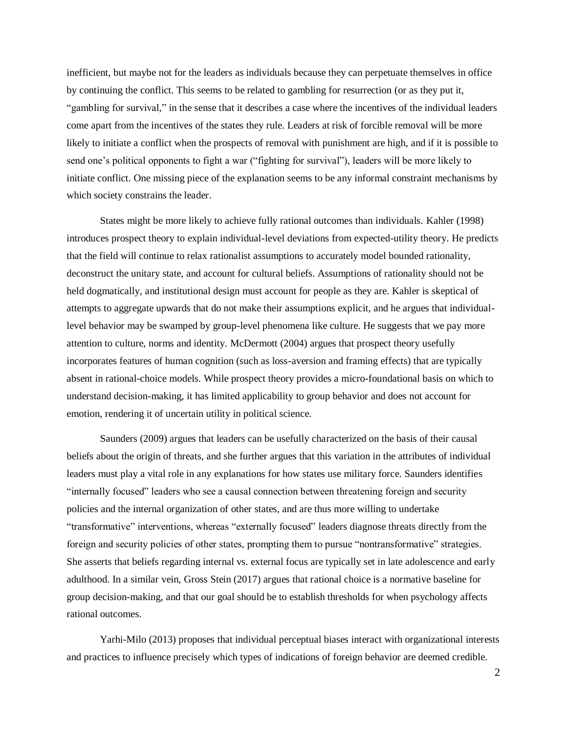inefficient, but maybe not for the leaders as individuals because they can perpetuate themselves in office by continuing the conflict. This seems to be related to gambling for resurrection (or as they put it, "gambling for survival," in the sense that it describes a case where the incentives of the individual leaders come apart from the incentives of the states they rule. Leaders at risk of forcible removal will be more likely to initiate a conflict when the prospects of removal with punishment are high, and if it is possible to send one's political opponents to fight a war ("fighting for survival"), leaders will be more likely to initiate conflict. One missing piece of the explanation seems to be any informal constraint mechanisms by which society constrains the leader.

States might be more likely to achieve fully rational outcomes than individuals. Kahler (1998) introduces prospect theory to explain individual-level deviations from expected-utility theory. He predicts that the field will continue to relax rationalist assumptions to accurately model bounded rationality, deconstruct the unitary state, and account for cultural beliefs. Assumptions of rationality should not be held dogmatically, and institutional design must account for people as they are. Kahler is skeptical of attempts to aggregate upwards that do not make their assumptions explicit, and he argues that individuallevel behavior may be swamped by group-level phenomena like culture. He suggests that we pay more attention to culture, norms and identity. McDermott (2004) argues that prospect theory usefully incorporates features of human cognition (such as loss-aversion and framing effects) that are typically absent in rational-choice models. While prospect theory provides a micro-foundational basis on which to understand decision-making, it has limited applicability to group behavior and does not account for emotion, rendering it of uncertain utility in political science.

Saunders (2009) argues that leaders can be usefully characterized on the basis of their causal beliefs about the origin of threats, and she further argues that this variation in the attributes of individual leaders must play a vital role in any explanations for how states use military force. Saunders identifies "internally focused" leaders who see a causal connection between threatening foreign and security policies and the internal organization of other states, and are thus more willing to undertake "transformative" interventions, whereas "externally focused" leaders diagnose threats directly from the foreign and security policies of other states, prompting them to pursue "nontransformative" strategies. She asserts that beliefs regarding internal vs. external focus are typically set in late adolescence and early adulthood. In a similar vein, Gross Stein (2017) argues that rational choice is a normative baseline for group decision-making, and that our goal should be to establish thresholds for when psychology affects rational outcomes.

Yarhi-Milo (2013) proposes that individual perceptual biases interact with organizational interests and practices to influence precisely which types of indications of foreign behavior are deemed credible.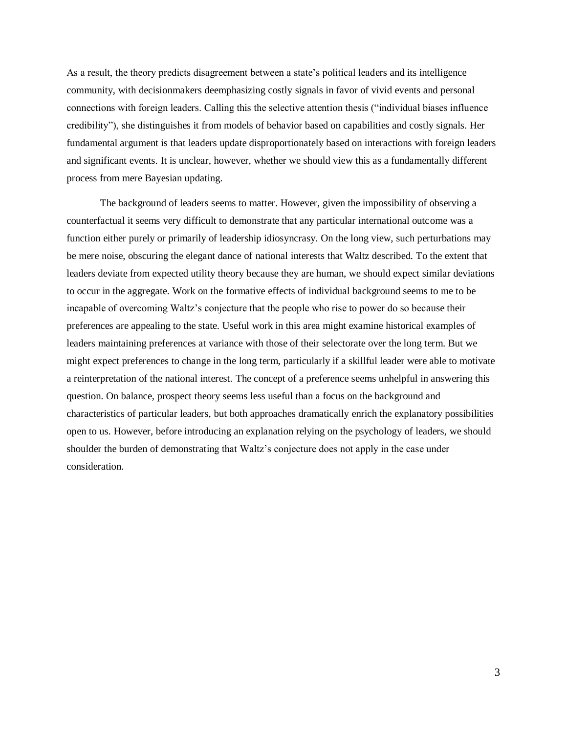As a result, the theory predicts disagreement between a state's political leaders and its intelligence community, with decisionmakers deemphasizing costly signals in favor of vivid events and personal connections with foreign leaders. Calling this the selective attention thesis ("individual biases influence credibility"), she distinguishes it from models of behavior based on capabilities and costly signals. Her fundamental argument is that leaders update disproportionately based on interactions with foreign leaders and significant events. It is unclear, however, whether we should view this as a fundamentally different process from mere Bayesian updating.

The background of leaders seems to matter. However, given the impossibility of observing a counterfactual it seems very difficult to demonstrate that any particular international outcome was a function either purely or primarily of leadership idiosyncrasy. On the long view, such perturbations may be mere noise, obscuring the elegant dance of national interests that Waltz described. To the extent that leaders deviate from expected utility theory because they are human, we should expect similar deviations to occur in the aggregate. Work on the formative effects of individual background seems to me to be incapable of overcoming Waltz's conjecture that the people who rise to power do so because their preferences are appealing to the state. Useful work in this area might examine historical examples of leaders maintaining preferences at variance with those of their selectorate over the long term. But we might expect preferences to change in the long term, particularly if a skillful leader were able to motivate a reinterpretation of the national interest. The concept of a preference seems unhelpful in answering this question. On balance, prospect theory seems less useful than a focus on the background and characteristics of particular leaders, but both approaches dramatically enrich the explanatory possibilities open to us. However, before introducing an explanation relying on the psychology of leaders, we should shoulder the burden of demonstrating that Waltz's conjecture does not apply in the case under consideration.